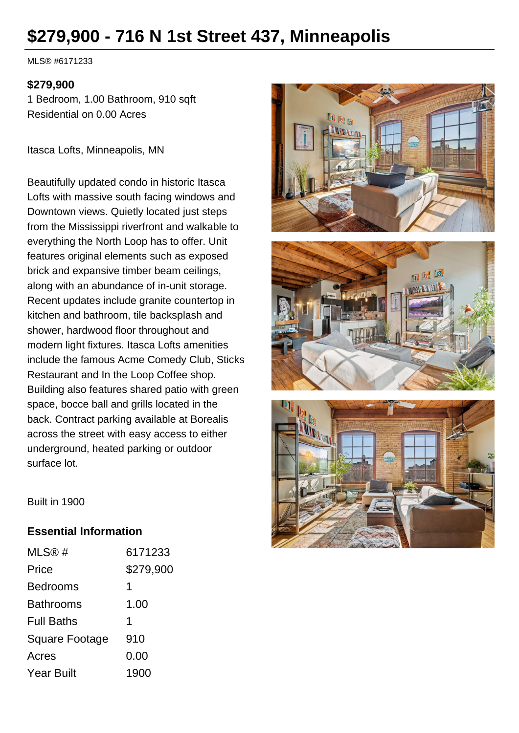# **\$279,900 - 716 N 1st Street 437, Minneapolis**

MLS® #6171233

#### **\$279,900**

1 Bedroom, 1.00 Bathroom, 910 sqft Residential on 0.00 Acres

Itasca Lofts, Minneapolis, MN

Beautifully updated condo in historic Itasca Lofts with massive south facing windows and Downtown views. Quietly located just steps from the Mississippi riverfront and walkable to everything the North Loop has to offer. Unit features original elements such as exposed brick and expansive timber beam ceilings, along with an abundance of in-unit storage. Recent updates include granite countertop in kitchen and bathroom, tile backsplash and shower, hardwood floor throughout and modern light fixtures. Itasca Lofts amenities include the famous Acme Comedy Club, Sticks Restaurant and In the Loop Coffee shop. Building also features shared patio with green space, bocce ball and grills located in the back. Contract parking available at Borealis across the street with easy access to either underground, heated parking or outdoor surface lot.







Built in 1900

## **Essential Information**

| MLS@#                 | 6171233   |
|-----------------------|-----------|
| Price                 | \$279,900 |
| <b>Bedrooms</b>       | 1         |
| <b>Bathrooms</b>      | 1.00      |
| <b>Full Baths</b>     | 1         |
| <b>Square Footage</b> | 910       |
| Acres                 | 0.00      |
| <b>Year Built</b>     | 1900      |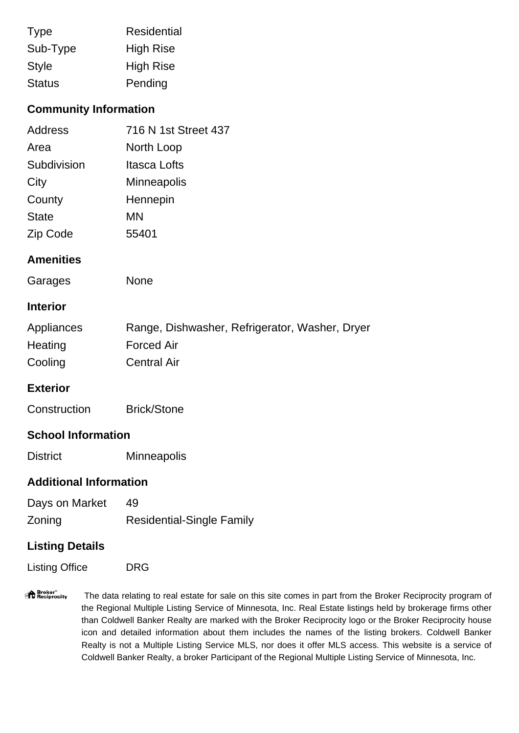| <b>Type</b>   | Residential      |
|---------------|------------------|
| Sub-Type      | <b>High Rise</b> |
| Style         | <b>High Rise</b> |
| <b>Status</b> | Pending          |

## **Community Information**

| Address      | 716 N 1st Street 437 |
|--------------|----------------------|
| Area         | North Loop           |
| Subdivision  | Itasca Lofts         |
| City         | <b>Minneapolis</b>   |
| County       | Hennepin             |
| <b>State</b> | MN                   |
| Zip Code     | 55401                |

#### **Amenities**

| Garages | <b>None</b> |
|---------|-------------|
|         |             |

#### **Interior**

| Appliances | Range, Dishwasher, Refrigerator, Washer, Dryer |
|------------|------------------------------------------------|
| Heating    | <b>Forced Air</b>                              |
| Cooling    | <b>Central Air</b>                             |

## **Exterior**

| Construction | <b>Brick/Stone</b> |
|--------------|--------------------|
|--------------|--------------------|

## **School Information**

District Minneapolis

## **Additional Information**

| Days on Market | 49                               |
|----------------|----------------------------------|
| Zoning         | <b>Residential-Single Family</b> |

## **Listing Details**

| <b>Listing Office</b> | DRG |
|-----------------------|-----|
|-----------------------|-----|

"<sup>1</sup> Broker"<br>"If Reciprocity The data relating to real estate for sale on this site comes in part from the Broker Reciprocity program of the Regional Multiple Listing Service of Minnesota, Inc. Real Estate listings held by brokerage firms other than Coldwell Banker Realty are marked with the Broker Reciprocity logo or the Broker Reciprocity house icon and detailed information about them includes the names of the listing brokers. Coldwell Banker Realty is not a Multiple Listing Service MLS, nor does it offer MLS access. This website is a service of Coldwell Banker Realty, a broker Participant of the Regional Multiple Listing Service of Minnesota, Inc.